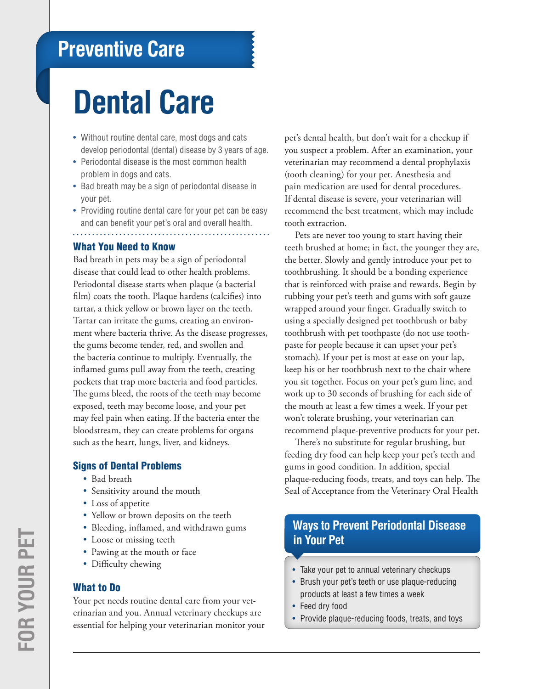# **Preventive Care**

# **Dental Care**

- Without routine dental care, most dogs and cats develop periodontal (dental) disease by 3 years of age.
- Periodontal disease is the most common health problem in dogs and cats.
- Bad breath may be a sign of periodontal disease in your pet.
- Providing routine dental care for your pet can be easy and can benefit your pet's oral and overall health.

#### What You Need to Know

Bad breath in pets may be a sign of periodontal disease that could lead to other health problems. Periodontal disease starts when plaque (a bacterial film) coats the tooth. Plaque hardens (calcifies) into tartar, a thick yellow or brown layer on the teeth. Tartar can irritate the gums, creating an environment where bacteria thrive. As the disease progresses, the gums become tender, red, and swollen and the bacteria continue to multiply. Eventually, the inflamed gums pull away from the teeth, creating pockets that trap more bacteria and food particles. The gums bleed, the roots of the teeth may become exposed, teeth may become loose, and your pet may feel pain when eating. If the bacteria enter the bloodstream, they can create problems for organs such as the heart, lungs, liver, and kidneys.

#### Signs of Dental Problems

- Bad breath
- Sensitivity around the mouth
- Loss of appetite
- Yellow or brown deposits on the teeth
- Bleeding, inflamed, and withdrawn gums
- Loose or missing teeth
- Pawing at the mouth or face
- Difficulty chewing

#### What to Do

Your pet needs routine dental care from your veterinarian and you. Annual veterinary checkups are essential for helping your veterinarian monitor your pet's dental health, but don't wait for a checkup if you suspect a problem. After an examination, your veterinarian may recommend a dental prophylaxis (tooth cleaning) for your pet. Anesthesia and pain medication are used for dental procedures. If dental disease is severe, your veterinarian will recommend the best treatment, which may include tooth extraction.

Pets are never too young to start having their teeth brushed at home; in fact, the younger they are, the better. Slowly and gently introduce your pet to toothbrushing. It should be a bonding experience that is reinforced with praise and rewards. Begin by rubbing your pet's teeth and gums with soft gauze wrapped around your finger. Gradually switch to using a specially designed pet toothbrush or baby toothbrush with pet toothpaste (do not use toothpaste for people because it can upset your pet's stomach). If your pet is most at ease on your lap, keep his or her toothbrush next to the chair where you sit together. Focus on your pet's gum line, and work up to 30 seconds of brushing for each side of the mouth at least a few times a week. If your pet won't tolerate brushing, your veterinarian can recommend plaque-preventive products for your pet.

There's no substitute for regular brushing, but feeding dry food can help keep your pet's teeth and gums in good condition. In addition, special plaque-reducing foods, treats, and toys can help. The Seal of Acceptance from the Veterinary Oral Health

### **Ways to Prevent Periodontal Disease in Your Pet**

- Take your pet to annual veterinary checkups
- Brush your pet's teeth or use plaque-reducing products at least a few times a week
- Feed dry food
- Provide plaque-reducing foods, treats, and toys